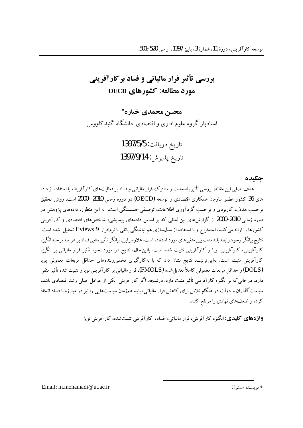# **4 رسی تأثیر فرار مالیاتی و فساد بر کارآفرینی** مورد مطالعه: کشورهای OECD

محسن محمدي خياره\* استادیار گروه علوم اداری و اقتصادی دانشگاه گنبدکاووس

> تاريخ دريافت: 1397/5/5 تاريخ يذيرش: 1397/9/14

#### حكىدە

هدف اصلی این مقاله، بررسی تأثیر بلندمدت و مشترک فرار مالیاتی و فساد بر فعالیتهای کارآفرینانه با استفاده از داده های 36 کشور عضو سازمان همکاری اقتصادی و توسعه (OECD) در دوره زمانی 2010 -2000 است. روش تحقیق برحسب هدف، کاربردی و برحسب گردآوری اطلاعات، توصیفی-همبستگی است. به این منظور، دادههای یژوهش در .<br>دوره زمانی 2010-2010 از گزارش های بینالمللی که بر اساس دادههای پیمایشی، شاخص های اقتصادی و کارآفرینی کشورها را ارائه می کنند، استخراج و با استفاده از مدل $\omega$ سازی هم $\vec{z}$ اشتگی پانلی با نرم $\vec{z}$ ارائه می کنند، است. نتايج بيانگر وجود رابطه بلندمدت بين متغيرهاي مورد استفاده است.علاوهبراين، بيانگر تأثير منفي فساد بر هر سه مرحله انگيزه کارآفرینی، کارآفرینی نوپا و کارآفرینی تثبیت شده است. بااین حال، نتایج در مورد نحوه تأثیر فرار مالیاتی بر انگیزه کارآفرینی مثبت است. بهاین ترتیب، نتایج نشان داد که با بهکارگیری تخمین(نندههای حداقل مربعات معمولی پویا (DOLS) و حداقل مربعات معمولی کاملاً تعدیل شده (FMOLS)، فرار مالیاتی بر کارآفرینی نوپا و تثبیت شده تأثیر منفی دارد، درحالی که بر انگیزه کارآفرینی تأثیر مثبت دارد. درنتیجه، اگر کارآفرینی یکی از عوامل اصلی رشد اقتصادی باشد، سیاست گذاران و دولت در هنگام تلاش برای کاهش فرار مالیاتی، باید همزمان سیاستهایی را نیز در مبارزه با فساد اتخاذ کرده و ضعفهای نهادی را مرتفع کنند.

**واژههای کلیدی:** انگیزه کارآفرینی، فرار مالیاتی، فساد، کارآفرینی تثبیتشده، کارآفرینی نویا

Email: m.mohamadi@ut.ac.ir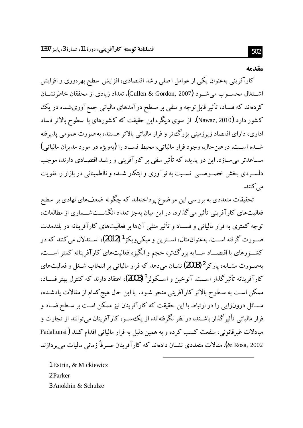#### مقدمه

کارآفرینی بهعنوان یکی از عوامل اصلی ر شد اقتصادی، افزایش سطح بهرهوری و افزایش اشــتغال محســوب مي شــود (Cullen & Gordon, 2007). تعداد زيادي از محققان خاطرنشــان کردهاند که فسـاد، تأثیر قابل توجه و منفـی بر سـطح درآمدهای مالیاتی جمعآوریشـده در یک کشور دارد (Nawaz, 2010). از سوی دیگر، این حقیقت که کشورهای با سطوح بالاتر فساد اداری، دارای اقتصاد زیرزمینی بزرگءتر و فرار مالیاتی بالاتر هستند، به صورت عمومی پذیرفته شــده اســت. درعين حال، وجود فرار مالياتي، محيط فســاد را (پهويژه در مورد مديران مالياتي) مسـاعدتر می سـازد. این دو یدیده که تأثیر منفی بر کارآفرینی و رشـد اقتصـادی دارند، موجب دلسـردي بخش خصـوصــي نسـبت به نوآوري و ابتكار شــده و نااطميناني در بازار را تقويت مے کنند.

تحقیقات متعددی به برر سی این موضوع پرداختهاند که چگونه ضعفهای نهادی بر سطح فعالیتهای کارآفرینی تأثیر می گذارد. در این میان بهجز تعداد انگشـــتشـــماری از مطالعات، توجه کمتری به فرار مالیاتی و فســاد و تأثیر منفی آنها بر فعالیتهای کارآفرینانه در بلندمدت صـورت گرفته اســت. بهعنوان.شال، اســترين و ميكي ويكز<sup>1</sup> (2012)، اســتدلال مي كنند كه در کشـــورهای با اقتصـــاد ســـایه بزرگءتر، حجم و انگیزه فعالیتهای کارآفرینانه کمتر اســـت. بهصورت مشـابه، پارکر <sup>2</sup> (2003) نشـان می دهد که فرار مالیاتی بر انتخاب شـغل و فعالیتهای كارآفرينانه تأثير گذار اســت. آنوخين و اســكولز<sup>3</sup> (2003)، اعتقاد دارند كه كنترل بهتر فســاد، ممکن است به سطوح بالاتر کارآفرینی منجر شـود. با این حال هیچ کدام از مقالات یادشـده، مسـائل درونزايي را در ارتباط با اين حقيقت كه كارآفرينان نيز ممكن اسـت بر سـطح فسـاد و فرار مالیاتی تأثیر گذار باشـند، در نظر نگرفتهاند. از یک سـو، کارآفرینان می توانند از تجارت و مبادلات غیرقانونی، منفعت کسب کرده و به همین دلیل به فرار مالیاتی اقدام کنند (Fadahunsi 8 Rosa, 2002). مقالات متعددي نشــان دادهاند كه كار آفر بنان صــر فاً زماني ماليات مے پر داز ند

1 Estrin, & Mickiewicz 2 Parker 3 Anokhin & Schulze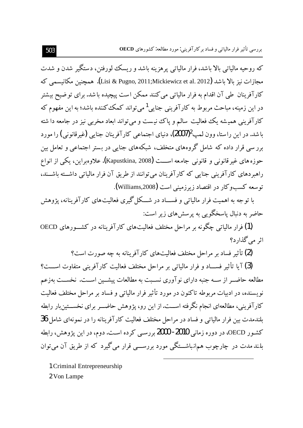که روحیه مالیاتی بالا باشد، فرار مالیاتی پرهزینه باشد و ریسک لورفتن، دستگیر شدن و شدت مجازات نيز بالا باشد (Lisi & Pugno, 2011;Mickiewicz et al. 2012). همچنين مكانيسمي كه کارآفرینان طی آن اقدام به فرار مالیاتی می کنند ممکن است پیچیده باشد. برای تو ضیح بیشتر در این زمینه، مباحث مربوط به کارآفرینی جنایی<sup>1</sup> می تواند کمک کننده باشد؛ به این مفهوم که کارآفرینی همیشه یک فعالیت سالم و یاک نیست و می تواند ابعاد مخربی نیز در جامعه دا شته باشد. در این راستا، وون لمپ2007)، دنیای اجتماعی کارآفرینان جنایی (غیرقانونی) را مورد برر سی قرار داده که شامل گروههای متخلف، شبکههای جنایی در بستر اجتماعی و تعامل بین حوزه های غیر قانونی و قانونی جامعه اســـت (Kapustkina, 2008). علاوه براین، یکی از انواع راهبردهای کارآفرینی جنایی که کارآفرینان می توانند از طریق آن فرار مالیاتی داشته باشــند، توسعه كسبوكار در اقتصاد زيرزميني است (Williams,2008).

با تو جه به اهمیت فرار مالیاتی و فســاد در شـــکل گیری فعالیتهای کارآفرینانه، یژوهش حاضر به دنبال پاسخگویی به پرسش های زیر است:

(1) فرار مالیاتی چگونه بر مراحل مختلف فعالیتهای کار آفرینانه در کشـورهای OECD اثر مے گذارد؟

(2) تأثیر فساد بر مراحل مختلف فعالیتهای کارآفرینانه به چه صورت است؟

(3) آیا تأثیر فســاد و فرار مالیاتی بر مراحل مختلف فعالیت کارآفرینی متفاوت اســـت؟ مطالعه حاضــر از ســه جنبه داراي نوآوري نســبت به مطالعات پيشــين اســت. نخســت بهزعم نویسنده، در ادبیات مربوطه تاکنون در مورد تأثیر فرار مالیاتی و فساد بر مراحل مختلف فعالیت کارآفرینی، مطالعهای انجام نگرفته اســت.از این رو، یژوهش حاضــر برای نخســتین بار رابطه بلندمدت بین فرار مالیاتی و فساد در مراحل مختلف فعالیت کارآفرینانه را در نمونهای شامل 36 کشـور OECD، در دوره زمانی **2010- 2000** بررسـی کرده اسـت. دوم، در این پژوهش، رابطه بلندمدت در چارچوب همانباشـــتگی مورد بررســـی قرار می گیرد که از طریق آن می توان

1 Criminal Entrepreneurship 2 Von Lampe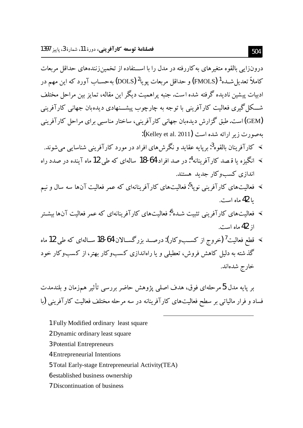درونزایی بالقوه متغیرهای به کاررفته در مدل را با اســتفاده از تخمینزنندههای حداقل مربعات كاملاً تعديل شــده<sup>1</sup> (FMOLS) و حداقل مربعات يويا<sup>2</sup> (DOLS) بهحســاب آورد كه اين مهم در ادبیات پیشین نادیده گرفته شده است. جنبه پراهمیت دیگر این مقاله، تمایز بین مراحل مختلف شـــکل گیری فعالیت کارآفرینی با توجه به چارچوب پیشـــنهادی دیدهبان جهانی کارآفرینی (GEM) است. طبق گزارش دیدهبان جهانی کارآفرینی، ساختار مناسبی برای مراحل کارآفرینی  $K$ elley et al. 2011): به ارائه شده است

- » کار آفرینان پالقوه<sup>3</sup>: پریایه عقاید و نگرش های افراد در مورد کارآفرینی شناسایی می شوند. ≫ انگیزه یا قـصد کارآفرینانه<sup>4</sup>: در صد افراد 64-18 سالهای که طی 12 ماه آینده در صدد راه
	- اندازی کسب و کار جدید هستند.
- ≫ فعالیتهای کارآفرینی نوپا<sup>5</sup>:فعالیتهای کارآفرینانهای که عمر فعالیت آنها سه سال و نیم با **42** ماه است.
- ≫ فعالیتهای کارآفرینی تثبیت شـده<sup>6</sup>:فعالیتهای کارآفرینانهای که عمر فعالیت آنها بیشـتر از 42 ماه است.
- ≫ قطع فعالیت<sup>7</sup> (خروج از کسـبوکار): درصــد بزرگســالان 64-18 ســالهای که طی 12 ماه گذشته به دلیل کاهش فروش، تعطیلی و یا راهاندازی کسبوکار بهتر، از کسبوکار خود خارج شدهاند.

بر پایه مدل 5 مرحلهای فوق، هدف اصلی پژوهش حاضر بررسی تأثیر همزمان و بلندمدت فساد و فرار مالیاتی بر سطح فعالیتهای کارآفرینانه در سه مرحله مختلف فعالیت کارآفرینی (با

- 1 Fully Modified ordinary least square
- 2 Dynamic ordinary least square
- 3 Potential Entrepreneurs
- 4 Entrepreneurial Intentions
- 5 Total Early-stage Entrepreneurial Activity (TEA)
- 6 established business ownership
- 7 Discontinuation of business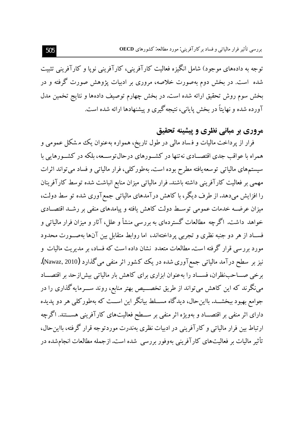توجه به دادههای موجود) شامل انگیزه فعالیت کارآفرینی، کارآفرینی نویا و کارآفرینی تثبیت شده ًاست. در بخش دوم بهصورت خلاصه، مروری بر ادبیات پژوهش صورت گرفته و در بخش سوم روش تحقیق ارائه شده است. در بخش چهارم توصیف دادهها و نتایج تخمین مدل آورده شده و نهایتاً در بخش پایانی، نتیجه گیری و پیشنهادها ارائه شده است.

## مروري بر مباني نظري و پيشينه تحقيق

فرار از پرداخت مالیات و فساد مالی در طول تاریخ، همواره بهعنوان یک مشکل عمومی و همراه با عواقب جدی اقتصــادی نه تنها در کشــورهای درحالتوســعه، بلکه در کشــورهایم با سیستمهای مالیاتی توسعه یافته مطرح بوده است. بهطور کلی، فرار مالیاتی و فساد می تواند اثرات مهمی بر فعالیت کارآفرینی داشته باشند. فرار مالیاتی میزان منابع انباشت شده توسط کارآفرینان را افزایش میدهد. از طرف دیگر، با کاهش درآمدهای مالیاتی جمع آوری شده تو سط دولت، میزان عرضــه خدمات عمومی توسـط دولت کاهش یافته و پیامدهای منفی بر رشــد اقتصــادی خواهد داشت. اگرچه مطالعات گستردهای به بررسی منشأ و علل، آثار و میزان فرار مالیاتی و فســاد از هر دو جنبه نظري و تجربي پرداختهاند، اما روابط متقابل بين آنها بهصــورت محدود مورد بررسی قرار گرفته است.مطالعات متعدد نشان داده است که فساد، بر مدیریت مالیات و نیز بر سطح درآمد مالیاتی جمعآوری شده در یک کشور اثر منفی میگذارد (Nawaz, 2010). برخی صـــاحب:ظران، فســـاد را بهعنوان ابزاری برای کاهش بار مالیاتی بیش(زحد بر اقتصـــاد می:گرند که این کاهش میتواند از طریق تخصـــیص بهتر منابع، روند ســـرمایه گذاری را در جوامع بهبود ببخشــد. بااین-حال، دیدگاه مســـلط بیانگر این اســت که بهطورکلی هر دو پدیده دارای اثر منفی بر اقتصـــاد و بهویژه اثر منفی بر ســـطح فعالیتهای کارآفرینی هســـتند. اگرچه ارتباط بین فرار مالیاتی و کارآفرینی در ادبیات نظری بهندرت موردتوجه قرار گرفته، بااین حال، تأثیر مالیات بر فعالیتهای کارآفرینی بهوفور بررسی شده است. ازجمله مطالعات انجامشده در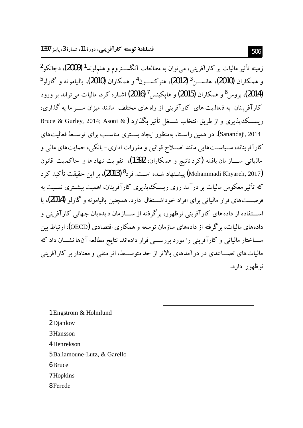زمینه تأثیر مالیات بر کارآفرینی، می توان به مطالعات آنگســتروم و هلمهلوند<sup>1</sup> (2009)، دجانکو<sup>2</sup> و همكاران (2010)، هانســــ; 3 (2012)، هنركســــون<sup>4</sup>و همكاران (2010)، بالبامو نه و گارلو<sup>5</sup> (2014)، پروس<sup>6</sup> و همکاران (2015) و هایکنس <sup>7</sup> (2016) اشیاره کرد. مالیات می تواند بر ورود کارآفرینان به فعالیت های کارآفرینی از راه های مختلف مانند میزان ســـر ما یه گذاری، ريســـك يذيري و از طريق انتخاب شـــغل تأثير بگذارد (& Bruce & Gurley, 2014; Asoni Sanandaji, 2014). در همین راســتا، بهمنظور ایجاد بســتری مناســب برای توســعهٔ فعالیتهای کارآفرینانه، سـیاســتهایی مانند اصــلاح قوانین و مقررات اداری- بانکی، حمایتهای مالی و مالياتي ســـاز مان يافته (كرد نائيج و همكاران، 1392)، تقويت نـهاد ها و حاكميت قانون (Mohammadi Khyareh, 2017) پیشـنهاد شـده اسـت. فرد<sup>8</sup> (2013)، بر این حقیقت تأکید کرد که تأثیر معکوس مالیات بر درآمد روی ریسک پذیری کارآفرینان، اهمیت پشت ی نسبت به فرصـــتهای فرار مالیاتی برای افراد خوداشـــتغال دارد. همچنین بالیامونه و گارلو (2014)، با اســـتفاده از دادههای کارآفرینی نوظهور، برگرفته از ســـازمان دیده بان جهانی کارآفرینی و دادههای مالیات، برگرفته از دادههای سازمان توسعه و همکاری اقتصادی (OECD)، ارتباط بین ســـاختار مالیاتی و کارآفرینی را مورد بررســـی قرار دادهاند. نتایج مطالعه آنها نشـــان داد که مالیات های تصـــاعدی در در آمدهای بالاتر از حد متوســـط، اثر منفی و معنادار بر کار آفرینی نوظهور دارد.

- 1 Engström & Holmlund 2 Diankov 3 Hansson 4 Henrekson 5 Baliamoune-Lutz, & Garello 6 Bruce 7 Hopkins
- 8 Ferede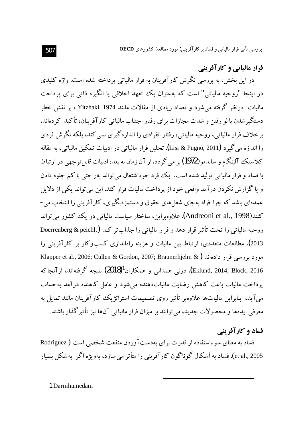فرار مالیاتی و کارآفرینی

در این بخش، به بررسی نگرش کارآفرینان به فرار مالیاتی پرداخته شده است. واژه کلیدی در ابنجا "روحیه مالیاتی" است که بهعنوان یک تعهد اخلاقی یا انگیزه ذاتی برای پرداخت مالیات درنظر گرفته می شود و تعداد زیادی از مقالات مانند Yitzhaki, 1974 ، بر نقش خطر دستگیر شدن یا لو رفتن و شدت مجازات برای رفتار اجتناب مالیاتی کارآفرینان، تأکید کر دهاند. برخلاف فرار مالیاتی، روحیه مالیاتی، رفتار انفرادی را اندازهگیری نمی کند، بلکه نگرش فردی را اندازه مي گير د (Lisi & Pugno, 2011). تحليل فرار مالياتي در ادبيات تمكين مالياتي، به مقاله كلاسيك آلينگام و ساندمو (1972) بر مي گردد.از آن زمان به بعد، ادبيات قابل توجهي در ارتباط <sub>.</sub><br>با فساد و فرار مالیاتی تولید شده است. یک فرد خوداشتغال میتواند بهراحتی با کم جلوه دادن و یا گزارش نکردن در آمد واقعی خود از پر داخت مالیات فرار کند. این می تواند یکی از دلایل عمدهاي باشد كه چرا افراد بهجاي شغل هاي حقوق و دستمزدبگيري، كار آفريني را انتخاب مي-کنند(Andreoni et al., 1998). علاوهبراین، ساختار سیاست مالیاتی در یک کشور می تواند روحيه مالياتي را تحت تأثير قرار دهد و فرار مالياتي را جذابتر كند (,Doerrenberg & peichl 2013). مطالعات متعددی، ارتباط بین مالیات و هزینه راهاندازی کسبوکار بر کارآفرینی را Klapper et al., 2006; Cullen & Gordon, 2007; Braunerhjelm & ) در سی قرار دادهاند ( Eklund, 2014; Block, 2016). درنی همدانی و همکاران<sup>1</sup>(2018) نتیجه گرفتهاند، ازآنجاکه یرداخت مالیات باعث کاهش رضایت مالیاتدهنده می شود و عامل کاهنده در آمد به حساب می آید، بنابراین مالیاتها علاوهبر تأثیر روی تصمیمات استراتژیک کارآفرینان مانند تمایل به معرفي ايدهها و محصولات جديد، مي توانند بر ميزان فرار مالياتي آنها نيز تأثير گذار باشند.

### فساد و کار آفر بنے

فساد به معنای سوءاستفاده از قدرت برای بهدستآوردن منفعت شخصی است ( Rodriguez et al., 2005). فساد به اَشکال گو ناگون کار آفرینی را متأثر می سازد، بهویژه اگر په شکل بسیار

1 Darnihamedani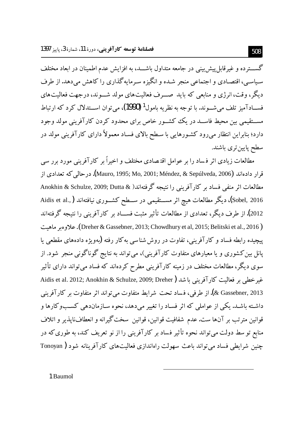گســـترده و غیر قابل پیش بینی در جامعه متداول باشـــد، به افزایش عدم اطمینان در ابعاد مختلف سیاسبی، اقتصادی و اجتماعی منجر شده و انگیزه سرمایه گذاری را کاهش میدهد. از طرف دیگر، وقت، انرژی و منابعی که باید صب ف فعالیتهای مولد شــوند، درجهت فعالیتهای فســـادآميز تلف مي شـــوند. با توجه به نظريه بامول<sup>1</sup> (1990)، مي توان اســـتدلال كرد كه ارتباط مســتقيمي بين محيط فاســد در يک کشــور خاص براي محدود کردن کارآفريني مولد وجود دارد؛ بنابراین انتظار میرود کشـورهایی با سـطح بالای فسـاد معمولاً دارای کارآفرینی مولد در سطح پایین تری باشند.

مطالعات زیادی اثر فساد را بر عوامل اقتصادی مختلف و اخیراً بر کارآفرینی مورد ىرر سے قرار دادهاند (Mauro, 1995; Mo, 2001; Méndez, & Sepúlveda, 2006). درحالي كه تعدادي از مطالعات اثر منفى فساد بر كارآفريني را نتيجه گرفتهاند( & Anokhin & Schulze, 2009; Dutta Sobel, 2016)، دیگر مطالعات هیچ اثر مســـتقیمی در ســطح کشــوری نیافتهاند (,.Aidis et al 2012). از طرف دیگر، تعدادی از مطالعات تأثیر مثبت فســـاد بر کارآفرینی را نتیجه گرفتهاند ( Dreher & Gassebner, 2013; Chowdhury et al, 2015; Belitski et al., 2016). علاوه مر ماهيت پیچیده رابطه فساد و کارآفرینی، تفاوت در روش شناسی به کار رفته (بهویژه دادههای مقطعی با پانل بین کشوری و یا معیارهای متفاوت کارآفرینی)، میتواند به نتایج گوناگونی منجر شود. از سوی دیگر، مطالعات مختلف در زمینه کارآفرینی مطرح کردهاند که فساد می تواند دارای تأثیر غير خطي بو فعاليت كارآفريني باشد ( Aidis et al. 2012; Anokhin & Schulze, 2009; Dreher 2013 ,& Gassebner ). از طرفي، فساد تحت شرايط متفاوت مي تواند اثر متفاوت بر كارآفريني داشته باشـد. یکی از عواملی که اثر فسـاد را تغییر می،دهد، نحوه سـازماندهی کســبوکارها و قوانین مترتب بر آنها ست.عدم شفافیت قوانین، قوانین سختگیرانه و انعطافنایذیر و اتلاف منابع تو سط دولت می تواند نحوه تأثیر فساد بر کارآفرینی را از نو تعریف کند، به طوری که در چنین شرایطی فساد می تواند باعث سهولت راهاندازی فعالیتهای کارآفرینانه شود ( Tonoyan

1 Baumol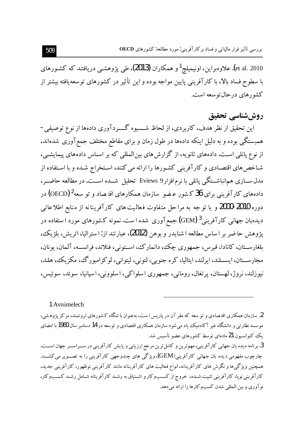et al. 2010). علاوه براین، اونیمیلچ<sup>1</sup> و همکاران **(2013)**، طی یژوهشبی دریافتند که کشـورهای با سطوح فساد بالا، با کارآفرینی پایین مواجه بوده و این تأثیر در کشورهای توسعه یافته بیشتر از كشورهاي درحال توسعه است.

# روششناسي تحقيق

این تحقیق از نظر هدف، کاربردی، از لحاظ شـــــیوه گـــــردآوری دادهها از نوع توصیفی-همبستگی بوده و به دلیل اینکه دادهها در طول زمان و برای مقاطع مختلف جمع آوری شدهاند، از نوع یانلی است. دادههای ثانویه، از گزارش های بین المللی که بر اسـاس دادههای پیمایشـی، شـاخص های اقتصـادی و کارآفرینی کشـورها را ارائه می کنند، اسـتخراج شـده و با اسـتفاده از مدل ســـازي همانباشــتگي يانلي با نرمافزار9 Eviews تحليل شـــده اســـت. در مطالعه حاضـــر، دادههای کارآفرینی برای 36 کشور عـضو سازمان همکارهای اقتـصاد و تو سعه $\rm{(OECD)}$  در دوره 2010-2000 و با توجه به مراحل متفاوت فعالیت های کارآفرینانه از منابع اطلاعاتی دیدهبان جهانبی کارآفرینبی<sup>3</sup> (GEM) جمعآوری شده ا ست. نمونه کشورهای مورد ا ستفاده در يژوهش حاضر بر اساس مطالعه ا شنايدر و بوهن (2012)، عبارتند از: ا ستراليا، اتريش، بلژيك، بلغارســتان، کانادا، قبرس، جمهوري چک، دانمارک، اســتوني، فنلاند، فرانســه، آلمان، يونان، مجارســـتان، ايســـلند، ايرلند، ايتاليا، كره جنوبي، لتوني، ليتواني، لوكز امبورگ، مكزيك، هلند، نيوزلند، نروژ، لهستان، پر تغال، روماني، جمهوري اسلواكي، اسلووني، اسپانيا، سوئد، سوئيس،

1 Avnimelech

2. سازمان همکاری اقتصادی و تو سعه که مقر آن در پاریس ا ست، بهعنوان با شگاه کشورهای ثروتمند، مرکز پژوهشی، موسسه نظارتی و دانشگاه غیر آکادمیک یاد می شود سازمان همکاری اقتصادی و توسعه در 14 دسامبر سال 1960 با امضای یک کنوانسیون 21 مادهای توسط کشورهای عضو تأسیس شد.

3. برنامه دیده بان جهانی کارآفرینی،مهمترین و کامل ترین مرجع ارزیابی و پایش کارآفرینی در ســراســر جهان اســـت. چارچوب مفهومي ديده بان جهاني کارآفريني(GEM)،ويژگي هاي چندوجهي کارآفريني را به تصــوير مي کشـــد. همچنین ویژگی،ها و نگرش های کارآفرینانه،انواع فعالیت های کارآفرینانه مانند کارآفرینی نوظهور، کارآفرینی جدید، کارآفرینی نوپا، کارآفرینی تثبیت شـده، خروج از کسـبوکار و اشـتیاق به رشـد کارآفرینانه شـامل رشـد کسـبوکار، نو آوري و بين المللي شدن كسبوكارها را ارائه مي دهد.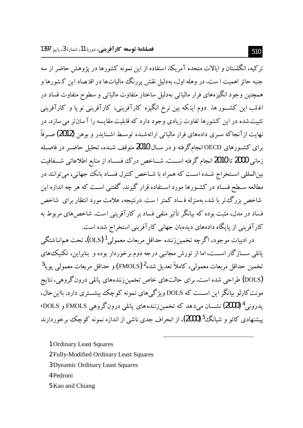تر کبه، انگلستان و آبالات متحده آمریکا.استفاده از این نمونه کشورها در پژوهش حاضر از سه جنبه حائز اهمیت ا ست. در وهله اول، بهدلیل نقش پررنگ مالیاتها در اقتصاد این کشورها و همچنین وجود انگیزههای فرار مالیاتی بهدلیل ساختار متفاوت مالیاتی و سطوح متفاوت فساد در اغلب این کشــور ها. دوم اینکه بین نرخ انگیزه کارآفرینی، کارآفرینی نو یا و کارآفرینی .<br>تثبت شده در این کشورها تفاوت زیادی وجود دارد که قابلیت مقایسه را آ سان تر می سازد. در نهایت ازآنجاکه سـری دادههای فرار مالیاتی ارائهشـده توسـط اشـنایدر و بوهن (2012) صـرفاً برای کشـورهای OECDانجامگرفته و در سـال **2010**متوقف شـده، تحلیل حاضــر در فاصــله زمانی 2000 تا 2010 انجام گرفته اســـت. شـــاخص درک فســـاد از منابع اطلاعاتی شـــفافيت بین|لمللی اسـتخراج شـده اسـت که همراه با شــاخص کنترل فســاد بانک جهانی، می توانند در مطالعه سـطح فسـاد در کشـورها مورد اسـتفاده قرار گیرند. گفتنی اسـت که هر چه اندازه این شاخص بزرگت تو با شد، بهمنزله فساد کمتر ا ست. درنتیجه، علامت مورد انتظار برای شاخص فساد در مدل، مثبت بوده که بیانگر تأثیر منفی فساد بر کارآفرینی است. شاخص های مربوط به کار آفرینی از پایگاه دادههای دیدهان جهانی کار آفرینی استخراج شده است.

در ادبیات موجود، اگرچه تخمینiزننده حداقل مربعات معمولی <sup>1</sup> (OLS)، تحت همانباشتگی پانلی ســـازگار اســـت، اما از تورش مجانبی درجه دوم برخوردار بوده و بنابراین، تکنیک های تخمين حداقل مربعات معمولي، كاملاً تعديل شده2 (FMOLS) و حداقل مربعات معمولي يويا<sup>3</sup> (DOLS) طراحی شده است. برای حالتهای خاص تخمین زنندههای یانلی درون گروهی، نتایج مونت کارلو بیانگر این اســت که DOLS ویژگی های نمونه کوچک بیشــتری دارد. بااین حال، يدروني <sup>4</sup> (2000) نشـــان مے دهد كه تخمين زنندههاي پانلي درونگروهي FMOLS و DOLS<sup>.</sup> ییشنهادی کائو و شیانگ<sup>5</sup> (2000)، از انحراف جدی ناشی از اندازه نمونه کوچک برخوردارند

1 Ordinary Least Squares

2 Fully-Modified Ordinary Least Squares

- 3 Dynamic Ordinary Least Squares
- 4 Pedroni
- 5 Kao and Chiang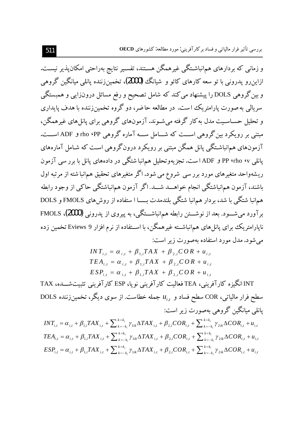و زمانی که بردارهای همانباشـتگی غیرهمگن هسـتند، تفسـیر نتایج بهراحتی امکان،پذیر نیسـت. ازاینرو پدرونی با تو سعه کارهای کائو و شیانگ **(2000)،** تخمین(ننده یانلمی میانگین گروهی و بین گروهی DOLS را پیشنهاد می کند که شامل تصحیح و رفع مسائل درونزایی و همبستگی سریالی به صورت پارامتریک است. در مطالعه حاضر، دو گروه تخمینزننده با هدف پایداری و تحلیل حســاســیت مدل به کار گرفته می شــوند. آزمونهای گروهی برای یانل های غیرهمگن، مبتنی بر رویکرد بین گروهی اســت که شـــامل ســـه آماره گروهی rho ۹PP و ADF اســت. آزمونهای همانباشتگی پانل همگن مبتنی بر رویکرد درون گروهی است که شـامل آمارههای پانل<sub>ی</sub> ۴۷ PP **۱۰**ho و ADF است. تجزیهوتحلیل همانبا شتگی در دادههای پانل با برر سی آزمون ریشهواحد متغیرهای مورد برر سی شروع می شود. اگر متغیرهای تحقیق همانبا شته از مرتبه اول باشند، آزمون هم|نباشتگی انجام خواهـــد شـــد.اگر آزمون هم|نباشتگی حاکی از وجود رابطه هم|نبا شتگی با شد، بردار هم|نبا شتگی بلندمدت بـــــا ا ستفاده از روشهای FMOLS و DOLS برآورد می شـود. بعد از نوشـــتن رابطه هم انباشـــتگی، به پیروی از پدرونی (2000)، FMOLS نایارامتریک برای یانل های همانباشــته غیرهمگن، با اســتفاده از نرم افزار 9 Eviews تخمین زده می شود. مدل مورد استفاده بهصورت زیر است:

$$
INT_{i,t} = \alpha_{i,t} + \beta_{1,i} TAX + \beta_{2,i} COR + u_{i,t}
$$
  
\n
$$
TEA_{i,t} = \alpha_{i,t} + \beta_{1,i} TAX + \beta_{2,i} COR + u_{i,t}
$$
  
\n
$$
ESP_{i,t} = \alpha_{i,t} + \beta_{1,i} TAX + \beta_{2,i} COR + u_{i,t}
$$

INT انگیزه کارآفرینی، TEA فعالیت کارآفرینی نویا، ESP کارآفرینی تثبیتشـــده، TAX DOLS مطح فرار مالیاتی، COR سطح فساد و  $u_i$  جمله خطاست. از سوی دیگر، تخمین زننده DOLS یانلی میانگین گروهی بهصورت زیر است:

$$
INT_{i,t} = \alpha_{i,t} + \beta_{1,i}TAX_{i,t} + \sum_{k=-k_i}^{k=k_i} \gamma_{1ik}\Delta TAX_{i,t} + \beta_{2,i}COR_{i,t} + \sum_{k=-k_i}^{k=k_i} \gamma_{2ik}\Delta COR_{i,t} + u_{i,t}
$$
  
\n
$$
TEA_{i,t} = \alpha_{i,t} + \beta_{1,i}TAX_{i,t} + \sum_{k=-k_i}^{k=k_i} \gamma_{1ik}\Delta TAX_{i,t} + \beta_{2,i}COR_{i,t} + \sum_{k=-k_i}^{k=k_i} \gamma_{2ik}\Delta COR_{i,t} + u_{i,t}
$$
  
\n
$$
ESP_{i,t} = \alpha_{i,t} + \beta_{1,i}TAX_{i,t} + \sum_{k=-k_i}^{k=k_i} \gamma_{1ik}\Delta TAX_{i,t} + \beta_{2,i}COR_{i,t} + \sum_{k=-k_i}^{k=k_i} \gamma_{2ik}\Delta COR_{i,t} + u_{i,t}
$$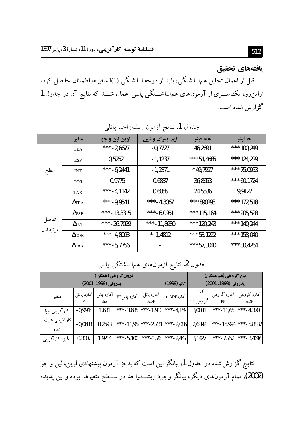## يافتههاي تحقيق

قبل از اعمال تحلیل همانبا شتگی، باید از درجه انبا شتگی (I() متغیرها اطمینان حاصل کرد. ازاین٫و، یک ســـری از آزمونهای همانباشـــتگی پانلی اعمال شـــد که نتایج آن در جدول 1 گزارش شده است.

| .                  |                         |               |                  |            |            |  |  |  |
|--------------------|-------------------------|---------------|------------------|------------|------------|--|--|--|
|                    | متغير                   | لوين لين و چو | ایم، پسران و شین | ADF فيشر   | PP فيشر    |  |  |  |
| سطح                | <b>TEA</b>              | ***-2,6677    | $-0,7727$        | 46,2691    | ***100,249 |  |  |  |
|                    | <b>ESP</b>              | 0,5252        | $-1,1237$        | ***54,4685 | ***124,229 |  |  |  |
|                    | <b>INT</b>              | ***-6,2441    | $-1,2371$        | $*49,7927$ | ***75,0953 |  |  |  |
|                    | <b>COR</b>              | $-0,9775$     | 0,6837           | 36,8653    | ***60,1724 |  |  |  |
|                    | <b>TAX</b>              | ***-4,1142    | 0,6055           | 24,5536    | 9,9122     |  |  |  |
| تفاضل<br>مرتبه اول | $\Delta$ TEA            | ***-9,9541    | ***-4,3067       | ***890298  | ***172,518 |  |  |  |
|                    | $\Delta$ <sub>ESP</sub> | ***-13,3315   | ***-6,0951       | ***115,164 | ***205,528 |  |  |  |
|                    | $\Delta$ nt             | ***-26,7029   | ***-11,8980      | ***120,243 | ***140,244 |  |  |  |
|                    | $\Delta$ or             | ***-4,8093    | $* -1,4812$      | ***53,1222 | ***158,040 |  |  |  |
|                    | $\Delta x$              | ***-5,7756    |                  | ***57,3040 | ***80,4264 |  |  |  |

# جدول 1. نتايج أزمون ديشهواجد بانله

جدول 2. نتايج آزمونهاي همانباشتگي پانلي

| درون گروهی (همگن         |             |            |              |             |                     | يين گروهي (غيرهمگن) |             |             |
|--------------------------|-------------|------------|--------------|-------------|---------------------|---------------------|-------------|-------------|
| پدرونی (1999، 2001)      |             |            |              | كائو (1999) | پدرونی (1999، 2001) |                     |             |             |
| متغير                    | آماره پانلی | آماره پانل | آماره پانلPP | آماره پانل  | آماره t- ADF        | آماره               | آماره گروهی | آماره گروهی |
|                          |             | rho        |              | ADF         |                     | گروهی rho           |             | ADF         |
| کار آفرینی نوپا          | $-0,9945$   | 1,631      | ***-3,685    | ***-1,910   | ***-4,159           | 3,0031              | ***-11,65   | ***-4,3703  |
| اکارآفرینی تثبیت-<br>شده | $-0,0683$   | 0,2593     | ***-11,95    | ***-2,731   | ***-2,086           | 2,6392              | ***-15,994  | ***-5,8837  |
| انگیزه کارآفرینی         | 0,3007      | 1,9214     | ***-5,100    | ***-1,76    | ***-2,447           | 3,1427              | ***-7,752   | ***-3,4616  |

نتایج گزارش شده در جدول 1، بیانگر این است که بهجز آزمون پیشنهادی لوین، لین و چو (2002)، تمام آزمونهای دیگر، بیانگر وجود ریشــهواحد در ســطح متغیرها بوده و این پدیده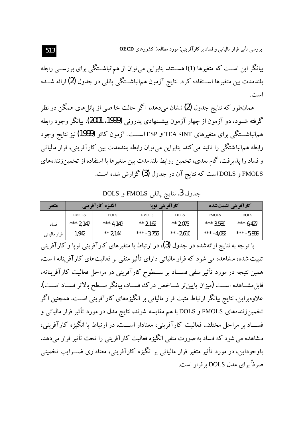بیانگر این اســت که متغیرها (I()I هســتند. بنابراین می توان از همانباشــتگی برای بررســی رابطه بلندمدت بین متغیرها اســـتفاده کرد. نتایج آزمون هم|نباشــتگی پانلی در جدول (2) ارائه شـــده است.

همان $لور که نتایج جدول (2) نشان میدهد، اگر حالت خاصی از پانل۵ای همگن در نظر$ گرفته شــود، دو آزمون از چهار آزمون پیشــنهادی پدرونی (1999، 2001)، بیانگر وجود رابطه هم|نباشـــتگي براي متغيرهاي TEA ، INT و ESP|ســـت. آزمون كائو (1999) نيز نتايج وجود رابطه همانیا شتگی را تائید می کند. بنابراین می توان رابطه بلندمدت بین کارآفرینی، فرار مالیاتی و فساد را پذیرفت. گام بعدی، تخمین روابط بلندمدت بین متغیرها با استفاده از تخمین زنندههای FMOLS و DOLS است که نتایج آن در جدول **(3)** گزارش شده است.

جدول 3. نتايج پانلي FMOLS و DOLS

| متغير         | انگیزه کارآفرینی |             | کارآفرینی نوپا |             | کار آفرینی تثبیتشده |             |
|---------------|------------------|-------------|----------------|-------------|---------------------|-------------|
|               | <b>FMOLS</b>     | <b>DOLS</b> | <b>FMOLS</b>   | <b>DOLS</b> | <b>FMOLS</b>        | <b>DOLS</b> |
| فساد          | *** 2.147        | *** 4.149   | ** 2.162       | ** 2.075    | *** 3.589           | *** $6.427$ |
| فرار مالياتبي | 1.942            | ** 2.144    | *** $-3.755$   | ** $-2.610$ | *** $-4.082$        | *** -5.939  |

با توجه به نتایج ارائهشده در جدول (3)، در ارتباط با متغیرهای کارآفرینی نوپا و کارآفرینی تثبیت شده، مشاهده می شود که فرار مالیاتی دارای تأثیر منفی بر فعالیتهای کارآفرینانه است. همین نتیجه در مورد تأثیر منفی فســاد بر ســطوح کارآفرینی در مراحل فعالیت کارآفرینانه، قابل مشــاهده اســت (ميزان يايين تر شــاخص درك فســاد، بيانگر ســطح بالاتر فســاد اســت). علاوهبراین، نتایج بیانگر ارتباط مثبت فرار مالیاتی بر انگیزههای کارآفرینی اسـت. همچنین اگر تخمینزنندههای FMOLS و DOLS با هم مقایسه شوند، نتایج مدل در مورد تأثیر فرار مالیاتی و فســـاد بر مراحل مختلف فعالیت کارآفرینی، معنادار اســـت. در ارتباط با انگیزه کارآفرینی، مشاهده می شود که فساد به صورت منفی انگیزه فعالیت کارآفرینی را تحت تأثیر قرار میدهد. باوجوداین، در مورد تأثیر متغیر فرار مالیاتی بر انگیزه کارآفرینی، معناداری ضــــرایب تخمینی صر فاً برای مدل DOLS برقرار است.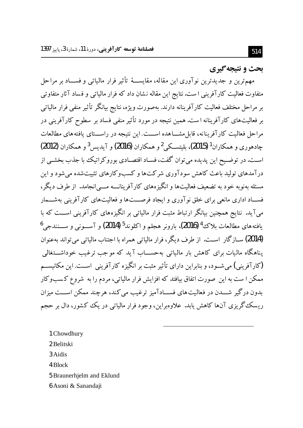يحث و نتيجه گيري

مهمترین و جدیدترین نوآوری این مقاله، مقایســهٔ تأثیر فرار مالیاتی و فســـاد بر مراحل متفاوت فعالیت کارآفرینی است.نتایج این مقاله نشان داد که فرار مالیاتی و فساد آثار متفاوتی بر مراحل مختلف فعالیت کارآفرینانه دارند. بهصورت ویژه، نتایج بیانگر تأثیر منفی فرار مالیاتی بر فعالیتهای کارآفرینانه است. همین نتیجه در مورد تأثیر منفی فساد بر سطوح کارآفرینی در مراحل فعالیت کارآفرینانه، قابل مشــاهده اســـت. این نتیجه در راســـتای یافتههای مطالعات جادهوري و همكاران<sup>1</sup> (2015)، بليتسبكي<sup>2</sup> و همكاران (2016) و آيديس<sup>3</sup> و همكاران (2012) اسـت. در توضـيح اين پديده مي توان گفت، فسـاد اقتصـادي بوروكراتيك با جذب بخشـي از درآمدهای تولید باعث کاهش سودآوری شرکتها و کسبوکارهای تثبیتشده می شود و این مسئله بهنوبه خود به تضعیف فعالیتها و انگیزههای کارآفرینانــــه مــــی|نجامد. از طرف دیگر، فســاد اداری مانعی برای خلق نو آوری و ایجاد فرصـــت۱ا و فعالیت۱مای کار آفرینی بهشـــمار میآید. نتایج همچنین بیانگر ارتباط مثبت فرار مالیاتی بر انگیزههای کارآفرینی اســـت که با يافته هاي مطالعات بلاك<sup>4</sup> (2016)، بارونږ هجلم و اكلوند<sup>5</sup> (2014) و آســـونې و ســـنندجي<sup>6</sup> (2014) ســازِگار اســت. از طرف ديگر، فرار مالياتي همراه با اجتناب مالياتي مي تواند بهعنوان یناهگاه مالیات برای کاهش بار مالیاتی بهحســـاب آید که موجب ترغیب خوداشـــتغالمی (کارآفرینی) می شـود، و بنابراین دارای تأثیر مثبت بر انگیزه کارآفرینی اســت. این مکانیســم ممکن ا ست به این ًصورت اتفاق بیافتد که افزایش فرار مالیاتی، مردم را به ًشروع کسبوکار بدون درگیر شـــدن در فعالیت های فســـادآمیز ترغیب می کند، هرچند ممکن اســـت میزان ریسک گریزی آنها کاهش یابد. علاوهبراین، وجود فرار مالیاتی در یک کشور، دال بر حجم

- 1 Chowdhury
- 2 Belitski
- 3 Aidis
- 4 Block
- 5 Braunerhjelm and Eklund
- 6 Asoni & Sanandaji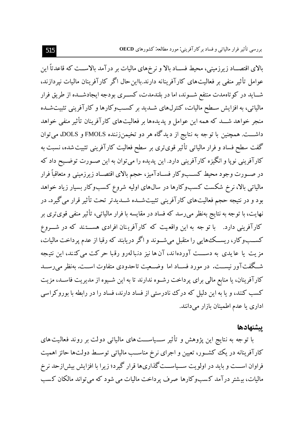بالای اقتصــاد زیرزمینی، محیط فســاد بالا و نرخهای مالیات بر درآمد بالاســت که قاعدتاً این عوامل تأثیر منفی بر فعالیت های کارآفرینانه دارند.بااین حال اگر کارآفرینان مالیات نیردازند، شــاید در کوتاهمدت منتفع شــوند، اما در بلندمدت، کســری بودجه ایجادشــده از طریق فرار مالیاتی، به افزایش سـطح مالیات، کنترلهای شــدید بر کسـبوکارها و کارآفرینی تثبیتشــده منجر خواهد شـــد که همه این عوامل و پدیدهها بر فعالیتهای کارآفرینان تأثیر منفی خواهد داشـــت. همچنین با توجه به نتایج از دیدگاه هر دو تخیمنزننده FMOLS و DOLS، می توان گفت سطح فساد و فرار مالیاتی تأثیر قویتری بر سطح فعالیت کارآفرینی تثبیت شده، نسبت به کارآفرینی نوپا و انگیزه کارآفرینی دارد. این پدیده را میتوان به این صـورت توضـیح داد که در صــورت وجود محيط كســبوكار فســادآميز، حجم بالاي اقتصــاد زيرزميني و متعاقباً فرار مالیاتی بالا، نرخ شکست کسبوکارها در سال۵های اولیه شروع کسبوکار بسیار زیاد خواهد بود و در نتیجه حجم فعالیتهای کارآفرینی تثبیتشــده شــدیدتر تحت تأثیر قرار می گیرد. در نهایت، با توجه به نتایج بهنظر می(سد که فساد در مقایسه با فرار مالیاتی، تأثیر منفی قویتری بر کارآفرینی دارد. با توجه به این واقعیت که کارآفرینان افرادی هســتند که در شـــروع کســبوکار، ريســک،هايي را متقبل مي شــوند و اگر دريابند که رقبا از عدم پرداخت ماليات، مزیت یا عایدی به دســـت آوردهاند، آن ها نیز دنبالهرو رقبا حرکت میکنند، این نتیجه شـگفتآور نیســت. در مورد فســاد اما وضــعیت تاحدودی متفاوت اســت. بهنظر می٫رســد کارآفرینان، یا منابع مالی برای پرداخت رشـوه ندارند تا به این شـیوه از مدیریت فاسـد، مزیت کسب کنند، و یا به این دلیل که درک نادرستی از فساد دارند، فساد را در رابطه با بوروکراسی اداری یا عدم اطمینان بازار میدانند.

### يتشهادها

با توجه به نتایج این پژوهش و تأثیر ســیاســـتهای مالیاتی دولت بر روند فعالیت های کارآفرینانه در یک کشـور، تعیین و اجرای نرخ مناسـب مالیاتی توسـط دولتها حائز اهمیت فراوان اســـت و باید در اولویت ســـیاســـت گذاریها قرار گیرد؛ زیرا با افزایش بیش|زحد نرخ مالیات، بیشتر درآمد کسبوکارها صرف پرداخت مالیات می شود که می تواند مالکان کسب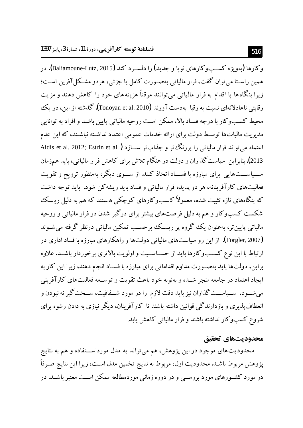و کارها (پهويژه کســبوکارهاي نوپا و جديد) را دلسـر د کند (Baliamoune-Lutz, 2015). در همين راســتا مي توان گفت، فرار مالياتي بهصــورت كامل يا جزئي، هردو مشــكل آفرين اســت؛ زیرا بنگاه ها با اقدام به فرار مالیاتی می توانند موقتاً هزینه های خود را کاهش دهند و مزیت رقابتی ناعادلانهای نسبت به رقبا ً بهدست آورند (Tonoyan et al. 2010). گذشته از این، در یک محیط کسـبوکار با درجه فسـاد بالا، ممکن اسـت روحیه مالیاتی پایین باشـد و افراد به توانایی مدیریت مالیاتها توسط دولت برای ارائه خدمات عمومی اعتماد نداشته نباشـند، که این عدم اعتماد مي تواند فرار مالياتي را يورنگ تر و جذابتر ســـازد ( Aidis et al. 2012; Estrin et al. ) 2013). بنابراین سیاست گذاران و دولت در هنگام تلاش برای کاهش فرار مالیاتی، باید همزمان ســیاســـتهایی برای مبارزه با فســاد اتخاذ کنند.از ســوی دیگر، بهمنظور ترویج و تقویت فعالیتهای کارآفرینانه، هر دو پدیده فرار مالیاتی و فساد باید ریشه کن شود. باید توجه داشت که ىنگاههاى تازه تثبيت شده، معمولاً کـسبوکارهاى کوچکى هستند که هم به دليل ريـسک شکست کسبوکار و هم به دلیل فرصتهای بیشتر برای درگیر شدن در فرار مالیاتی و روحیه مالیاتی پایین تر، مەعنوان یک گروه پر ریسک پرحسب تمکین مالیاتی درنظر گرفته می شـوند (Torgler, 2007). از این رو سیاستهای مالیاتی دولتها و راهکارهای مبارزه با فساد اداری در ارتباط با این نوع کسـبوکارها باید از حسـاسـیت و اولویت بالاتری برخوردار باشـد. علاوه براین، دولتها باید بهصورت مداوم اقداماتی برای مبارزه با فســاد انجام دهند، زیرا این کار به ایجاد اعتماد در جامعه منجر شــده و بهنوبه خود باعث تقویت و توســعه فعالیتهای کارآفرینی میشــود. ســیاســتگذاران نیز باید دقت لازم را در مورد شــفافیت، ســختگیرانه نبودن و انعطاف پذیری و بازدارندگی قوانین داشته باشند تا کارآفرینان، دیگر نیازی به دادن رشوه برای شروع کسبوکار نداشته باشند و فرار مالیاتی کاهش یابد.

#### محدوديتهاي تحقيق

محدودیتهای موجود در این پژوهش، هم میتواند به مدل مورداســتفاده و هم به نتایج پژوهش مربوط باشـد. محدودیت اول، مربوط به نتایج تخمین مدل اسـت، زیرا این نتایج صـرفاً در مورد کشــورهای مورد بررســی و در دوره زمانی موردمطالعه ممکن اســت معتبر باشــد. در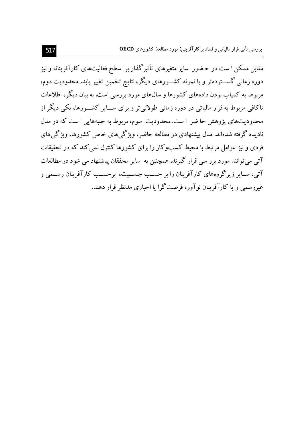.<br>مقابل ممکن ا ست در حـضور سایر متغیرهای تأثیرگذار بر سطح فعالیتهای کارآفرینانه و نیز دوره زمانی گســـتردهتر و یا نمونه کشـــورهای دیگر، نتایج تخمین تغییر یابد. محدودیت دوم، مربوط به کمیاب بودن دادههای کشورها و سال\$های مورد بررسی است. به بیان دیگر، اطلاعات ناکافی مربوط به فرار مالیاتی در دوره زمانی طولانی تر و برای ســـایر کشـــورها، یکی دیگر از محدودیتهای پژوهش حاضر است.محدودیت سوم،مربوط به جنبههایی است که در مدل نادیده گرفته شدهاند. مدل پیشنهادی در مطالعه حاضر، ویژگی های خاص کشورها، ویژگی های فردی و نیز عوامل مرتبط با محیط کسبوکار را برای کشورها کنترل نمی کند که در تحقیقات آتی می توانند مورد برر سی قرار گیرند. همچنین به سایر محققان پیشنهاد می شود در مطالعات آتی، ســاـر زیرگروههای کارآفرینان را بر حســب جنســیت، برحســب کارآفرینان رســمی و غیررسمی و یا کارآفرینان نو آور، فرصتگرا یا اجباری مدنظر قرار دهند.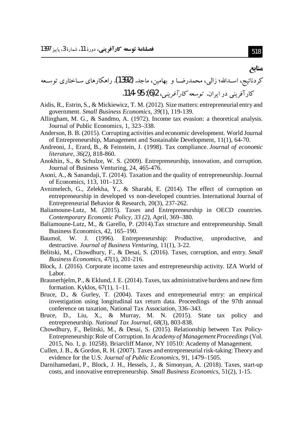# کردنائیج، اسـدالله؛ زالی، محمدرضــا و بهامین، ماجد. (1392). راهکارهای ســاختاری توســعه كار آفرینبر در ایران. توسعه كار *آفرینبر*، 2(6): 95-114.

- Aidis, R., Estrin, S., & Mickiewicz, T. M. (2012). Size matters: entrepreneurial entry and government. Small Business Economics, 39(1), 119-139.
- Allingham, M. G., & Sandmo, A. (1972). Income tax evasion: a theoretical analysis. Journal of Public Economics, 1, 323-338.
- Anderson, B. B. (2015). Corrupting activities and economic development. World Journal of Entrepreneurship, Management and Sustainable Development, 11(1), 64-70.
- Andreoni, J., Erard, B., & Feinstein, J. (1998). Tax compliance. Journal of economic literature, 36(2), 818-860.
- Anokhin, S., & Schulze, W. S. (2009). Entrepreneurship, innovation, and corruption. Journal of Business Venturing, 24, 465-476.
- Asoni, A., & Sanandaji, T. (2014). Taxation and the quality of entrepreneurship. Journal of Economics, 113, 101-123.
- Avnimelech, G., Zelekha, Y., & Sharabi, E. (2014). The effect of corruption on entrepreneurship in developed vs non-developed countries. International Journal of Entrepreneurial Behavior & Research, 20(3), 237-262.
- Baliamoune-Lutz, M. (2015). Taxes and Entrepreneurship in OECD countries. Contemporary Economic Policy, 33 (2), April, 369–380.
- Baliamoune-Lutz, M., & Garello, P. (2014). Tax structure and entrepreneurship. Small Business Economics, 42, 165-190.
- Baumol. W.  $J<sub>r</sub>$ (1996). Entrepreneurship: Productive, unproductive, and destructive. Journal of Business Venturing, 11(1), 3-22.
- Belitski, M., Chowdhury, F., & Desai, S. (2016). Taxes, corruption, and entry. Small Business Economics, 47(1), 201-216.
- Block, J. (2016). Corporate income taxes and entrepreneurship activity. IZA World of Labor.
- Braunerhjelm, P., & Eklund, J. E. (2014). Taxes, tax administrative burdens and new firm formation. Kyklos, 67(1), 1-11.
- Bruce, D., & Gurley, T. (2004). Taxes and entrepreneurial entry: an empirical investigation using longitudinal tax return data. Proceedings of the 97th annual conference on taxation, National Tax Association, 336–343.
- Bruce, D., Liu, X., & Murray, M. N. (2015). State tax policy and entrepreneurship. National Tax Journal, 68(3), 803-838.
- Chowdhury, F., Belitski, M., & Desai, S. (2015). Relationship between Tax Policy-Entrepreneurship: Role of Corruption. In Academy of Management Proceedings (Vol. 2015, No. 1, p. 10258). Briarcliff Manor, NY 10510: Academy of Management.
- Cullen, J. B., & Gordon, R. H. (2007). Taxes and entrepreneurial risk-taking: Theory and evidence for the U.S. Journal of Public Economics, 91, 1479–1505.
- Darnihamedani, P., Block, J. H., Hessels, J., & Simonyan, A. (2018). Taxes, start-up costs, and innovative entrepreneurship. *Small Business Economics*, 51(2), 1-15.

### مناتع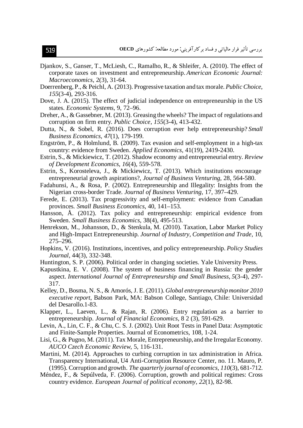- Djankov, S., Ganser, T., McLiesh, C., Ramalho, R., & Shleifer, A. (2010). The effect of corporate taxes on investment and entrepreneurship. American Economic Journal: Macroeconomics, 2(3), 31-64.
- Doerrenberg, P., & Peichl, A. (2013). Progressive taxation and tax morale. Public Choice, 155(3-4), 293-316.
- Dove, J. A. (2015). The effect of judicial independence on entrepreneurship in the US states. Economic Systems, 9, 72-96.
- Dreher, A., & Gassebner, M. (2013). Greasing the wheels? The impact of regulations and corruption on firm entry. *Public Choice*, 155(3-4), 413-432.
- Dutta, N., & Sobel, R. (2016). Does corruption ever help entrepreneurship? Small Business Economics, 47(1), 179-199.
- Engström, P., & Holmlund, B. (2009). Tax evasion and self-employment in a high-tax country: evidence from Sweden. Applied Economics, 41(19), 2419-2430.
- Estrin, S., & Mickiewicz, T. (2012). Shadow economy and entrepreneurial entry. Review of Development Economics, 16(4), 559-578.
- Estrin, S., Korosteleva, J., & Mickiewicz, T. (2013). Which institutions encourage entrepreneurial growth aspirations?, Journal of Business Venturing, 28, 564-580.
- Fadahunsi, A., & Rosa, P. (2002). Entrepreneurship and Illegality: Insights from the Nigerian cross-border Trade. Journal of Business Venturing, 17, 397–429.
- Ferede, E. (2013). Tax progressivity and self-employment: evidence from Canadian provinces. Small Business Economics, 40, 141-153.
- Hansson, Å. (2012). Tax policy and entrepreneurship: empirical evidence from Sweden. Small Business Economics, 38(4), 495-513.
- Henrekson, M., Johansson, D., & Stenkula, M. (2010). Taxation, Labor Market Policy and High-Impact Entrepreneurship. Journal of Industry, Competition and Trade, 10, 275-296.
- Hopkins, V. (2016). Institutions, incentives, and policy entrepreneurship. Policy Studies Journal, 44(3), 332-348.
- Huntington, S. P. (2006). Political order in changing societies. Yale University Press.
- Kapustkina, E. V. (2008). The system of business financing in Russia: the gender aspect. International Journal of Entrepreneurship and Small Business, 5(3-4), 297-317.
- Kelley, D., Bosma, N. S., & Amorós, J. E. (2011). Global entrepreneurship monitor 2010 executive report, Babson Park, MA: Babson College, Santiago, Chile: Universidad del Desarollo.1-83.
- Klapper, L., Laeven, L., & Rajan, R. (2006). Entry regulation as a barrier to entrepreneurship. Journal of Financial Economics, 8 2 (3), 591-629.
- Levin, A., Lin, C. F., & Chu, C. S. J. (2002). Unit Root Tests in Panel Data: Asymptotic and Finite-Sample Properties. Journal of Econometrics, 108, 1-24.
- Lisi, G., & Pugno, M. (2011). Tax Morale, Entrepreneurship, and the Irregular Economy. AUCO Czech Economic Review, 5, 116-131.
- Martini, M. (2014). Approaches to curbing corruption in tax administration in Africa. Transparency International, U4 Anti-Corruption Resource Center, no. 11. Mauro, P. (1995). Corruption and growth. The quarterly journal of economics,  $110(3)$ , 681-712.
- Méndez, F., & Sepúlveda, F. (2006). Corruption, growth and political regimes: Cross country evidence. *European Journal of political economy*, 22(1), 82-98.